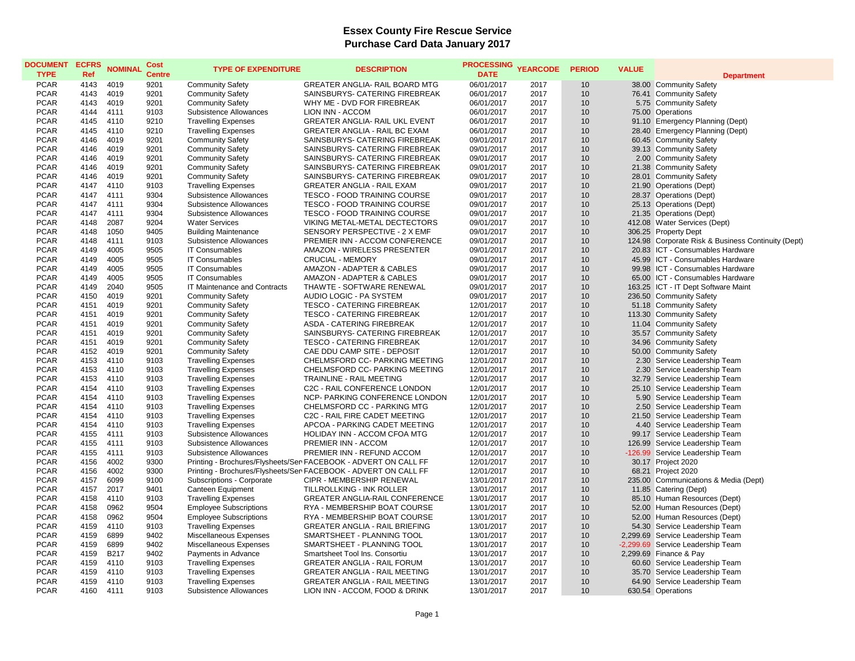## **Essex County Fire Rescue Service Purchase Card Data January 2017**

| <b>DOCUMENT</b><br><b>TYPE</b> | <b>ECFRS</b><br>Ref | <b>NOMINAL</b> | Cost<br><b>Centre</b> | <b>TYPE OF EXPENDITURE</b>    | <b>DESCRIPTION</b>                                              | <b>PROCESSING</b><br><b>DATE</b> | <b>YEARCODE</b> | <b>PERIOD</b> | <b>VALUE</b> | <b>Department</b>                                  |
|--------------------------------|---------------------|----------------|-----------------------|-------------------------------|-----------------------------------------------------------------|----------------------------------|-----------------|---------------|--------------|----------------------------------------------------|
| <b>PCAR</b>                    | 4143                | 4019           | 9201                  | <b>Community Safety</b>       | GREATER ANGLIA- RAIL BOARD MTG                                  | 06/01/2017                       | 2017            | 10            |              | 38.00 Community Safety                             |
| <b>PCAR</b>                    | 4143                | 4019           | 9201                  | <b>Community Safety</b>       | SAINSBURYS- CATERING FIREBREAK                                  | 06/01/2017                       | 2017            | 10            |              | 76.41 Community Safety                             |
| <b>PCAR</b>                    | 4143                | 4019           | 9201                  | <b>Community Safety</b>       | WHY ME - DVD FOR FIREBREAK                                      | 06/01/2017                       | 2017            | 10            |              | 5.75 Community Safety                              |
| <b>PCAR</b>                    | 4144                | 4111           | 9103                  | Subsistence Allowances        | LION INN - ACCOM                                                | 06/01/2017                       | 2017            | 10            |              | 75.00 Operations                                   |
| <b>PCAR</b>                    | 4145                | 4110           | 9210                  | <b>Travelling Expenses</b>    | GREATER ANGLIA- RAIL UKL EVENT                                  | 06/01/2017                       | 2017            | 10            |              | 91.10 Emergency Planning (Dept)                    |
| <b>PCAR</b>                    | 4145                | 4110           | 9210                  | <b>Travelling Expenses</b>    | GREATER ANGLIA - RAIL BC EXAM                                   | 06/01/2017                       | 2017            | 10            |              | 28.40 Emergency Planning (Dept)                    |
| <b>PCAR</b>                    | 4146                | 4019           | 9201                  | <b>Community Safety</b>       | SAINSBURYS- CATERING FIREBREAK                                  | 09/01/2017                       | 2017            | 10            |              | 60.45 Community Safety                             |
| <b>PCAR</b>                    | 4146                | 4019           | 9201                  | <b>Community Safety</b>       | SAINSBURYS- CATERING FIREBREAK                                  | 09/01/2017                       | 2017            | 10            |              | 39.13 Community Safety                             |
| <b>PCAR</b>                    | 4146                | 4019           | 9201                  | <b>Community Safety</b>       | SAINSBURYS- CATERING FIREBREAK                                  | 09/01/2017                       | 2017            | 10            |              | 2.00 Community Safety                              |
| <b>PCAR</b>                    | 4146                | 4019           | 9201                  | <b>Community Safety</b>       | SAINSBURYS- CATERING FIREBREAK                                  | 09/01/2017                       | 2017            | 10            |              | 21.38 Community Safety                             |
| <b>PCAR</b>                    | 4146                | 4019           | 9201                  | <b>Community Safety</b>       | SAINSBURYS- CATERING FIREBREAK                                  | 09/01/2017                       | 2017            | 10            |              | 28.01 Community Safety                             |
| <b>PCAR</b>                    | 4147                | 4110           | 9103                  | <b>Travelling Expenses</b>    | <b>GREATER ANGLIA - RAIL EXAM</b>                               | 09/01/2017                       | 2017            | 10            |              | 21.90 Operations (Dept)                            |
| <b>PCAR</b>                    | 4147                | 4111           | 9304                  | Subsistence Allowances        | <b>TESCO - FOOD TRAINING COURSE</b>                             | 09/01/2017                       | 2017            | 10            |              | 28.37 Operations (Dept)                            |
| <b>PCAR</b>                    | 4147                | 4111           | 9304                  | Subsistence Allowances        | <b>TESCO - FOOD TRAINING COURSE</b>                             | 09/01/2017                       | 2017            | 10            |              | 25.13 Operations (Dept)                            |
| <b>PCAR</b>                    | 4147                | 4111           | 9304                  | Subsistence Allowances        | TESCO - FOOD TRAINING COURSE                                    | 09/01/2017                       | 2017            | 10            |              | 21.35 Operations (Dept)                            |
| PCAR                           | 4148                | 2087           | 9204                  | <b>Water Services</b>         | VIKING METAL-METAL DECTECTORS                                   | 09/01/2017                       | 2017            | 10            |              | 412.08 Water Services (Dept)                       |
| <b>PCAR</b>                    | 4148                | 1050           | 9405                  | <b>Building Maintenance</b>   | SENSORY PERSPECTIVE - 2 X EMF                                   | 09/01/2017                       | 2017            | 10            |              | 306.25 Property Dept                               |
| <b>PCAR</b>                    | 4148                | 4111           | 9103                  | Subsistence Allowances        | PREMIER INN - ACCOM CONFERENCE                                  | 09/01/2017                       | 2017            | 10            |              | 124.98 Corporate Risk & Business Continuity (Dept) |
| <b>PCAR</b>                    | 4149                | 4005           | 9505                  | <b>IT Consumables</b>         | AMAZON - WIRELESS PRESENTER                                     | 09/01/2017                       | 2017            | 10            |              | 20.83 ICT - Consumables Hardware                   |
| <b>PCAR</b>                    | 4149                | 4005           | 9505                  | <b>IT Consumables</b>         | <b>CRUCIAL - MEMORY</b>                                         | 09/01/2017                       | 2017            | 10            |              | 45.99 ICT - Consumables Hardware                   |
| <b>PCAR</b>                    | 4149                | 4005           | 9505                  | <b>IT Consumables</b>         | AMAZON - ADAPTER & CABLES                                       | 09/01/2017                       | 2017            | 10            |              | 99.98 ICT - Consumables Hardware                   |
| <b>PCAR</b>                    | 4149                | 4005           | 9505                  | <b>IT Consumables</b>         | AMAZON - ADAPTER & CABLES                                       | 09/01/2017                       | 2017            | 10            |              | 65.00 ICT - Consumables Hardware                   |
| <b>PCAR</b>                    | 4149                | 2040           | 9505                  | IT Maintenance and Contracts  | THAWTE - SOFTWARE RENEWAL                                       | 09/01/2017                       | 2017            | 10            |              | 163.25 ICT - IT Dept Software Maint                |
| <b>PCAR</b>                    | 4150                | 4019           | 9201                  | <b>Community Safety</b>       | AUDIO LOGIC - PA SYSTEM                                         | 09/01/2017                       | 2017            | 10            |              | 236.50 Community Safety                            |
| <b>PCAR</b>                    | 4151                | 4019           | 9201                  | <b>Community Safety</b>       | <b>TESCO - CATERING FIREBREAK</b>                               | 12/01/2017                       | 2017            | 10            |              | 51.18 Community Safety                             |
| <b>PCAR</b>                    | 4151                | 4019           | 9201                  | <b>Community Safety</b>       | <b>TESCO - CATERING FIREBREAK</b>                               | 12/01/2017                       | 2017            | 10            |              | 113.30 Community Safety                            |
| <b>PCAR</b>                    | 4151                | 4019           | 9201                  | <b>Community Safety</b>       | ASDA - CATERING FIREBREAK                                       | 12/01/2017                       | 2017            | 10            |              | 11.04 Community Safety                             |
| <b>PCAR</b>                    | 4151                | 4019           | 9201                  | <b>Community Safety</b>       | SAINSBURYS- CATERING FIREBREAK                                  | 12/01/2017                       | 2017            | 10            |              | 35.57 Community Safety                             |
| <b>PCAR</b>                    | 4151                | 4019           | 9201                  | <b>Community Safety</b>       | <b>TESCO - CATERING FIREBREAK</b>                               | 12/01/2017                       | 2017            | 10            |              | 34.96 Community Safety                             |
| <b>PCAR</b>                    | 4152                | 4019           | 9201                  | <b>Community Safety</b>       | CAE DDU CAMP SITE - DEPOSIT                                     | 12/01/2017                       | 2017            | 10            |              | 50.00 Community Safety                             |
| <b>PCAR</b>                    | 4153                | 4110           | 9103                  | <b>Travelling Expenses</b>    | CHELMSFORD CC- PARKING MEETING                                  | 12/01/2017                       | 2017            | 10            |              | 2.30 Service Leadership Team                       |
| <b>PCAR</b>                    | 4153                | 4110           | 9103                  | <b>Travelling Expenses</b>    | CHELMSFORD CC- PARKING MEETING                                  | 12/01/2017                       | 2017            | 10            |              | 2.30 Service Leadership Team                       |
| PCAR                           | 4153                | 4110           | 9103                  | <b>Travelling Expenses</b>    | TRAINLINE - RAIL MEETING                                        | 12/01/2017                       | 2017            | 10            |              | 32.79 Service Leadership Team                      |
| <b>PCAR</b>                    | 4154                | 4110           | 9103                  | <b>Travelling Expenses</b>    | C2C - RAIL CONFERENCE LONDON                                    | 12/01/2017                       | 2017            | 10            |              | 25.10 Service Leadership Team                      |
| <b>PCAR</b>                    | 4154                | 4110           | 9103                  | <b>Travelling Expenses</b>    | NCP- PARKING CONFERENCE LONDON                                  | 12/01/2017                       | 2017            | 10            |              | 5.90 Service Leadership Team                       |
| <b>PCAR</b>                    | 4154                | 4110           | 9103                  | <b>Travelling Expenses</b>    | CHELMSFORD CC - PARKING MTG                                     | 12/01/2017                       | 2017            | 10            |              | 2.50 Service Leadership Team                       |
| <b>PCAR</b>                    | 4154                | 4110           | 9103                  | <b>Travelling Expenses</b>    | C2C - RAIL FIRE CADET MEETING                                   | 12/01/2017                       | 2017            | 10            |              | 21.50 Service Leadership Team                      |
| <b>PCAR</b>                    | 4154                | 4110           | 9103                  | <b>Travelling Expenses</b>    | APCOA - PARKING CADET MEETING                                   | 12/01/2017                       | 2017            | 10            |              | 4.40 Service Leadership Team                       |
| <b>PCAR</b>                    | 4155                | 4111           | 9103                  | Subsistence Allowances        | HOLIDAY INN - ACCOM CFOA MTG                                    | 12/01/2017                       | 2017            | 10            |              | 99.17 Service Leadership Team                      |
| <b>PCAR</b>                    | 4155                | 4111           | 9103                  | Subsistence Allowances        | PREMIER INN - ACCOM                                             | 12/01/2017                       | 2017            | 10            |              | 126.99 Service Leadership Team                     |
| <b>PCAR</b>                    | 4155                | 4111           | 9103                  | Subsistence Allowances        | PREMIER INN - REFUND ACCOM                                      | 12/01/2017                       | 2017            | 10            |              | -126.99 Service Leadership Team                    |
| <b>PCAR</b>                    | 4156                | 4002           | 9300                  |                               | Printing - Brochures/Flysheets/Ser FACEBOOK - ADVERT ON CALL FF | 12/01/2017                       | 2017            | 10            |              | 30.17 Project 2020                                 |
| <b>PCAR</b>                    | 4156                | 4002           | 9300                  |                               | Printing - Brochures/Flysheets/Ser FACEBOOK - ADVERT ON CALL FF | 12/01/2017                       | 2017            | 10            |              | 68.21 Project 2020                                 |
| <b>PCAR</b>                    | 4157                | 6099           | 9100                  | Subscriptions - Corporate     | CIPR - MEMBERSHIP RENEWAL                                       | 13/01/2017                       | 2017            | 10            |              | 235.00 Communications & Media (Dept)               |
| <b>PCAR</b>                    | 4157                | 2017           | 9401                  | Canteen Equipment             | TILLROLLKING - INK ROLLER                                       | 13/01/2017                       | 2017            | 10            |              | 11.85 Catering (Dept)                              |
| <b>PCAR</b>                    | 4158                | 4110           | 9103                  | <b>Travelling Expenses</b>    | <b>GREATER ANGLIA-RAIL CONFERENCE</b>                           | 13/01/2017                       | 2017            | 10            |              | 85.10 Human Resources (Dept)                       |
| <b>PCAR</b>                    | 4158                | 0962           | 9504                  | <b>Employee Subscriptions</b> | RYA - MEMBERSHIP BOAT COURSE                                    | 13/01/2017                       | 2017            | 10            |              | 52.00 Human Resources (Dept)                       |
| <b>PCAR</b>                    | 4158                | 0962           | 9504                  | <b>Employee Subscriptions</b> | RYA - MEMBERSHIP BOAT COURSE                                    | 13/01/2017                       | 2017            | 10            |              | 52.00 Human Resources (Dept)                       |
| <b>PCAR</b>                    | 4159                | 4110           | 9103                  | <b>Travelling Expenses</b>    | <b>GREATER ANGLIA - RAIL BRIEFING</b>                           | 13/01/2017                       | 2017            | 10            |              | 54.30 Service Leadership Team                      |
| <b>PCAR</b>                    | 4159                | 6899           | 9402                  | Miscellaneous Expenses        | SMARTSHEET - PLANNING TOOL                                      | 13/01/2017                       | 2017            | 10            |              | 2,299.69 Service Leadership Team                   |
| <b>PCAR</b>                    | 4159                | 6899           | 9402                  | Miscellaneous Expenses        | SMARTSHEET - PLANNING TOOL                                      | 13/01/2017                       | 2017            | 10            |              | -2,299.69 Service Leadership Team                  |
| <b>PCAR</b>                    | 4159                | B217           | 9402                  | Payments in Advance           | Smartsheet Tool Ins. Consortiu                                  | 13/01/2017                       | 2017            | 10            |              | 2,299.69 Finance & Pay                             |
| <b>PCAR</b>                    | 4159                | 4110           | 9103                  | <b>Travelling Expenses</b>    | <b>GREATER ANGLIA - RAIL FORUM</b>                              | 13/01/2017                       | 2017            | 10            |              | 60.60 Service Leadership Team                      |
| <b>PCAR</b>                    | 4159                | 4110           | 9103                  | <b>Travelling Expenses</b>    | <b>GREATER ANGLIA - RAIL MEETING</b>                            | 13/01/2017                       | 2017            | 10            |              | 35.70 Service Leadership Team                      |
| <b>PCAR</b>                    | 4159                | 4110           | 9103                  | <b>Travelling Expenses</b>    | <b>GREATER ANGLIA - RAIL MEETING</b>                            | 13/01/2017                       | 2017            | 10            |              | 64.90 Service Leadership Team                      |
| <b>PCAR</b>                    | 4160                | 4111           | 9103                  | Subsistence Allowances        | LION INN - ACCOM, FOOD & DRINK                                  | 13/01/2017                       | 2017            | 10            |              | 630.54 Operations                                  |